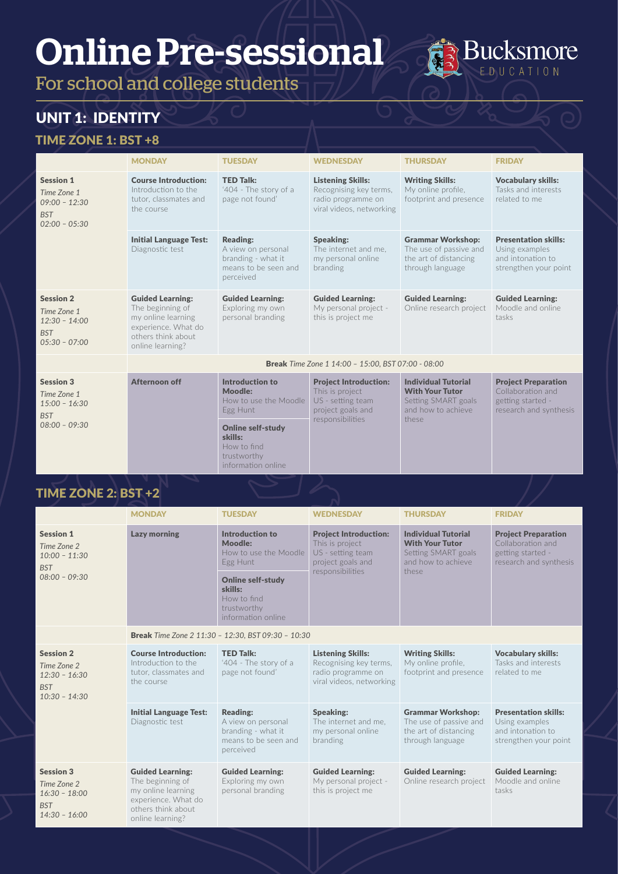For school and college students

# UNIT 1: IDENTITY

#### TIME ZONE 1: BST +8

|                                                                                     | <b>MONDAY</b>                                                                                                                       | <b>TUESDAY</b>                                                                                   | <b>WEDNESDAY</b>                                                                                              | <b>THURSDAY</b>                                                                                            | <b>FRIDAY</b>                                                                                  |
|-------------------------------------------------------------------------------------|-------------------------------------------------------------------------------------------------------------------------------------|--------------------------------------------------------------------------------------------------|---------------------------------------------------------------------------------------------------------------|------------------------------------------------------------------------------------------------------------|------------------------------------------------------------------------------------------------|
| <b>Session 1</b><br>Time Zone 1<br>$09:00 - 12:30$<br><b>BST</b><br>$02:00 - 05:30$ | <b>Course Introduction:</b><br>Introduction to the<br>tutor, classmates and<br>the course.                                          | <b>TED Talk:</b><br>'404 - The story of a<br>page not found'                                     | <b>Listening Skills:</b><br>Recognising key terms,<br>radio programme on<br>viral videos, networking          | <b>Writing Skills:</b><br>My online profile.<br>footprint and presence                                     | <b>Vocabulary skills:</b><br>Tasks and interests<br>related to me                              |
|                                                                                     | <b>Initial Language Test:</b><br>Diagnostic test                                                                                    | <b>Reading:</b><br>A view on personal<br>branding - what it<br>means to be seen and<br>perceived | <b>Speaking:</b><br>The internet and me,<br>my personal online<br>branding                                    | <b>Grammar Workshop:</b><br>The use of passive and<br>the art of distancing<br>through language            | <b>Presentation skills:</b><br>Using examples<br>and intonation to<br>strengthen your point    |
| <b>Session 2</b><br>Time Zone 1<br>$12:30 - 14:00$<br><b>BST</b><br>$05:30 - 07:00$ | <b>Guided Learning:</b><br>The beginning of<br>my online learning<br>experience. What do<br>others think about.<br>online learning? | <b>Guided Learning:</b><br>Exploring my own<br>personal branding                                 | <b>Guided Learning:</b><br>My personal project -<br>this is project me                                        | <b>Guided Learning:</b><br>Online research project                                                         | <b>Guided Learning:</b><br>Moodle and online<br>tasks                                          |
|                                                                                     |                                                                                                                                     |                                                                                                  | <b>Break</b> Time Zone 1 14:00 - 15:00, BST 07:00 - 08:00                                                     |                                                                                                            |                                                                                                |
| <b>Session 3</b><br>Time Zone 1<br>$15:00 - 16:30$<br><b>BST</b>                    | Afternoon off                                                                                                                       | Introduction to<br>Moodle:<br>How to use the Moodle<br>Egg Hunt                                  | <b>Project Introduction:</b><br>This is project<br>US - setting team<br>project goals and<br>responsibilities | <b>Individual Tutorial</b><br><b>With Your Tutor</b><br>Setting SMART goals<br>and how to achieve<br>these | <b>Project Preparation</b><br>Collaboration and<br>getting started -<br>research and synthesis |
| $08:00 - 09:30$                                                                     |                                                                                                                                     | <b>Online self-study</b><br>skills:<br>How to find<br>trustworthy<br>information online          |                                                                                                               |                                                                                                            |                                                                                                |

**Bucksmore** EDUCATION

|                                                                                     | <b>MONDAY</b>                                                                                                                       | <b>TUESDAY</b>                                                                                                                                             | <b>WEDNESDAY</b>                                                                                              | <b>THURSDAY</b>                                                                                            | <b>FRIDAY</b>                                                                                  |  |  |
|-------------------------------------------------------------------------------------|-------------------------------------------------------------------------------------------------------------------------------------|------------------------------------------------------------------------------------------------------------------------------------------------------------|---------------------------------------------------------------------------------------------------------------|------------------------------------------------------------------------------------------------------------|------------------------------------------------------------------------------------------------|--|--|
| <b>Session 1</b><br>Time Zone 2<br>$10:00 - 11:30$<br><b>BST</b><br>$08:00 - 09:30$ | <b>Lazy morning</b>                                                                                                                 | Introduction to<br>Moodle:<br>How to use the Moodle<br>Egg Hunt<br><b>Online self-study</b><br>skills:<br>How to find<br>trustworthy<br>information online | <b>Project Introduction:</b><br>This is project<br>US - setting team<br>project goals and<br>responsibilities | <b>Individual Tutorial</b><br><b>With Your Tutor</b><br>Setting SMART goals<br>and how to achieve<br>these | <b>Project Preparation</b><br>Collaboration and<br>getting started -<br>research and synthesis |  |  |
|                                                                                     | <b>Break</b> Time Zone 2 11:30 - 12:30, BST 09:30 - 10:30                                                                           |                                                                                                                                                            |                                                                                                               |                                                                                                            |                                                                                                |  |  |
| <b>Session 2</b><br>Time Zone 2<br>$12:30 - 16:30$<br><b>BST</b><br>$10:30 - 14:30$ | <b>Course Introduction:</b><br>Introduction to the<br>tutor, classmates and<br>the course.                                          | <b>TED Talk:</b><br>'404 - The story of a<br>page not found'                                                                                               | <b>Listening Skills:</b><br>Recognising key terms.<br>radio programme on<br>viral videos, networking          | <b>Writing Skills:</b><br>My online profile,<br>footprint and presence                                     | <b>Vocabulary skills:</b><br>Tasks and interests<br>related to me                              |  |  |
|                                                                                     | <b>Initial Language Test:</b><br>Diagnostic test                                                                                    | <b>Reading:</b><br>A view on personal<br>branding - what it<br>means to be seen and<br>perceived                                                           | Speaking:<br>The internet and me.<br>my personal online<br>branding                                           | <b>Grammar Workshop:</b><br>The use of passive and<br>the art of distancing<br>through language            | <b>Presentation skills:</b><br>Using examples<br>and intonation to<br>strengthen your point    |  |  |
| <b>Session 3</b><br>Time Zone 2<br>$16:30 - 18:00$<br><b>BST</b><br>$14:30 - 16:00$ | <b>Guided Learning:</b><br>The beginning of<br>my online learning<br>experience. What do<br>others think about.<br>online learning? | <b>Guided Learning:</b><br>Exploring my own<br>personal branding                                                                                           | <b>Guided Learning:</b><br>My personal project -<br>this is project me                                        | <b>Guided Learning:</b><br>Online research project                                                         | <b>Guided Learning:</b><br>Moodle and online<br>tasks                                          |  |  |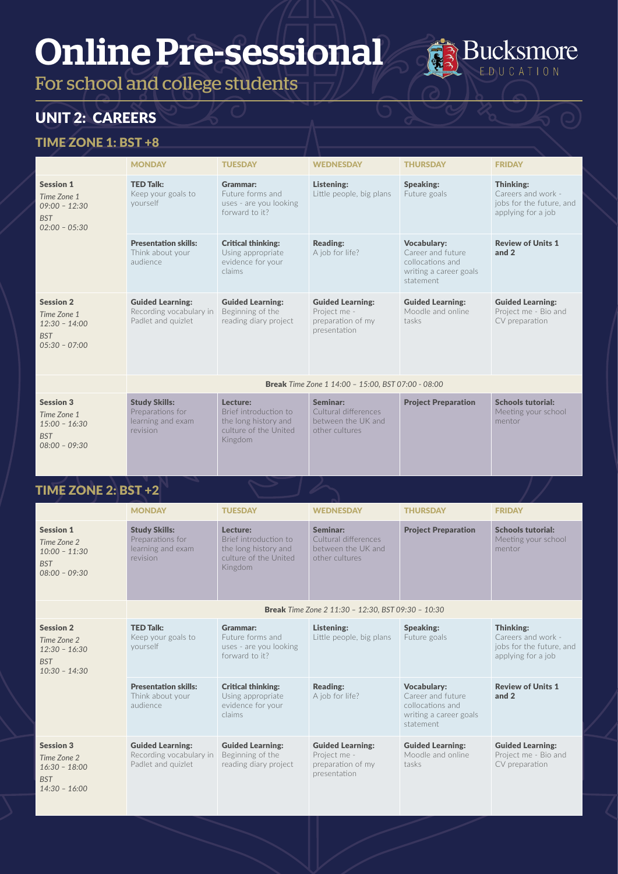For school and college students

# UNIT 2: CAREERS

#### TIME ZONE 1: BST +8

|                                                                                     | <b>MONDAY</b>                                                             | <b>TUESDAY</b>                                                                                | <b>WEDNESDAY</b>                                                             | <b>THURSDAY</b>                                                                                    | <b>FRIDAY</b>                                                                     |
|-------------------------------------------------------------------------------------|---------------------------------------------------------------------------|-----------------------------------------------------------------------------------------------|------------------------------------------------------------------------------|----------------------------------------------------------------------------------------------------|-----------------------------------------------------------------------------------|
| <b>Session 1</b><br>Time Zone 1<br>$09:00 - 12:30$<br><b>BST</b><br>$02:00 - 05:30$ | <b>TED Talk:</b><br>Keep your goals to<br>vourself                        | Grammar:<br>Future forms and<br>uses - are you looking<br>forward to it?                      | Listening:<br>Little people, big plans                                       | Speaking:<br>Future goals                                                                          | Thinking:<br>Careers and work -<br>jobs for the future, and<br>applying for a job |
|                                                                                     | <b>Presentation skills:</b><br>Think about your<br>audience               | <b>Critical thinking:</b><br>Using appropriate<br>evidence for your<br>claims                 | <b>Reading:</b><br>A job for life?                                           | <b>Vocabulary:</b><br>Career and future<br>collocations and<br>writing a career goals<br>statement | <b>Review of Units 1</b><br>and 2                                                 |
| <b>Session 2</b><br>Time Zone 1<br>$12:30 - 14:00$<br><b>BST</b><br>$05:30 - 07:00$ | <b>Guided Learning:</b><br>Recording vocabulary in<br>Padlet and quizlet  | <b>Guided Learning:</b><br>Beginning of the<br>reading diary project                          | <b>Guided Learning:</b><br>Project me -<br>preparation of my<br>presentation | <b>Guided Learning:</b><br>Moodle and online<br>tasks                                              | <b>Guided Learning:</b><br>Project me - Bio and<br>CV preparation                 |
|                                                                                     |                                                                           |                                                                                               | <b>Break</b> Time Zone 1 14:00 - 15:00, BST 07:00 - 08:00                    |                                                                                                    |                                                                                   |
| <b>Session 3</b><br>Time Zone 1<br>$15:00 - 16:30$<br><b>BST</b><br>$08:00 - 09:30$ | <b>Study Skills:</b><br>Preparations for<br>learning and exam<br>revision | Lecture:<br>Brief introduction to<br>the long history and<br>culture of the United<br>Kingdom | Seminar:<br>Cultural differences<br>between the UK and<br>other cultures     | <b>Project Preparation</b>                                                                         | <b>Schools tutorial:</b><br>Meeting your school<br>mentor                         |

**Bucksmore** EDUCATION

|                                                                                     | <b>MONDAY</b>                                                             | <b>TUESDAY</b>                                                                                | <b>WEDNESDAY</b>                                                             | <b>THURSDAY</b>                                                                                    | <b>FRIDAY</b>                                                                     |
|-------------------------------------------------------------------------------------|---------------------------------------------------------------------------|-----------------------------------------------------------------------------------------------|------------------------------------------------------------------------------|----------------------------------------------------------------------------------------------------|-----------------------------------------------------------------------------------|
| <b>Session 1</b><br>Time Zone 2<br>$10:00 - 11:30$<br><b>BST</b><br>$08:00 - 09:30$ | <b>Study Skills:</b><br>Preparations for<br>learning and exam<br>revision | Lecture:<br>Brief introduction to<br>the long history and<br>culture of the United<br>Kingdom | Seminar:<br>Cultural differences<br>between the UK and<br>other cultures     | <b>Project Preparation</b>                                                                         | <b>Schools tutorial:</b><br>Meeting your school<br>mentor                         |
|                                                                                     |                                                                           |                                                                                               | <b>Break</b> Time Zone 2 11:30 - 12:30, BST 09:30 - 10:30                    |                                                                                                    |                                                                                   |
| <b>Session 2</b><br>Time Zone 2<br>$12:30 - 16:30$<br><b>BST</b><br>$10:30 - 14:30$ | <b>TED Talk:</b><br>Keep your goals to<br>yourself                        | Grammar:<br>Future forms and<br>uses - are you looking<br>forward to it?                      | Listening:<br>Little people, big plans                                       | Speaking:<br>Future goals                                                                          | Thinking:<br>Careers and work -<br>jobs for the future, and<br>applying for a job |
|                                                                                     | <b>Presentation skills:</b><br>Think about your<br>audience               | <b>Critical thinking:</b><br>Using appropriate<br>evidence for your<br>claims                 | <b>Reading:</b><br>A job for life?                                           | <b>Vocabulary:</b><br>Career and future<br>collocations and<br>writing a career goals<br>statement | <b>Review of Units 1</b><br>and 2                                                 |
| <b>Session 3</b><br>Time Zone 2<br>$16:30 - 18:00$<br><b>BST</b><br>$14:30 - 16:00$ | <b>Guided Learning:</b><br>Recording vocabulary in<br>Padlet and quizlet  | <b>Guided Learning:</b><br>Beginning of the<br>reading diary project                          | <b>Guided Learning:</b><br>Project me -<br>preparation of my<br>presentation | <b>Guided Learning:</b><br>Moodle and online<br>tasks                                              | <b>Guided Learning:</b><br>Project me - Bio and<br>CV preparation                 |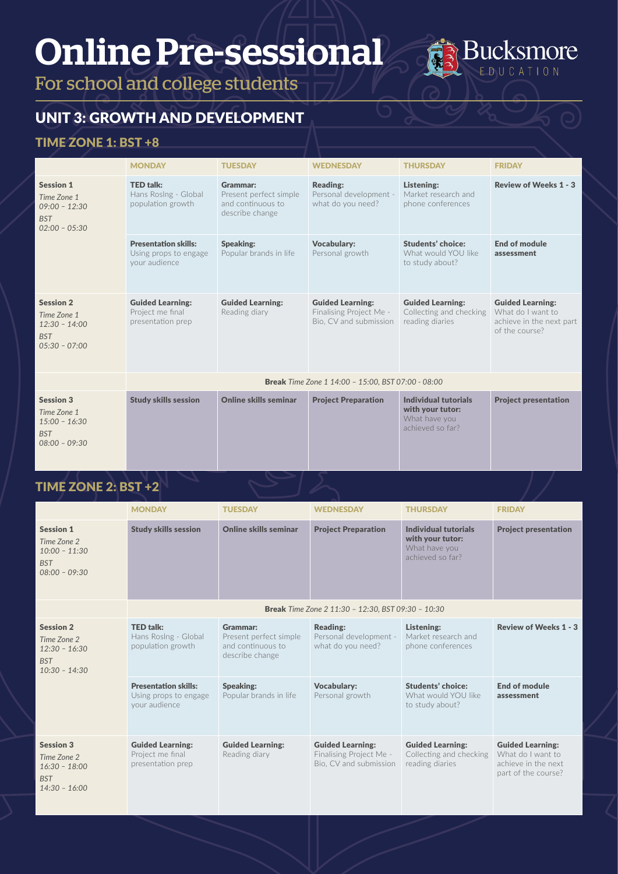For school and college students

# UNIT 3: GROWTH AND DEVELOPMENT

### TIME ZONE 1: BST +8

|                                                                                     | <b>MONDAY</b>                                                         | <b>TUESDAY</b>                                                             | <b>WEDNESDAY</b>                                                             | <b>THURSDAY</b>                                                               | <b>FRIDAY</b>                                                                              |
|-------------------------------------------------------------------------------------|-----------------------------------------------------------------------|----------------------------------------------------------------------------|------------------------------------------------------------------------------|-------------------------------------------------------------------------------|--------------------------------------------------------------------------------------------|
| <b>Session 1</b><br>Time Zone 1<br>$09:00 - 12:30$<br><b>BST</b><br>$02:00 - 05:30$ | <b>TED talk:</b><br>Hans Roslng - Global<br>population growth         | Grammar:<br>Present perfect simple<br>and continuous to<br>describe change | <b>Reading:</b><br>Personal development -<br>what do you need?               | Listening:<br>Market research and<br>phone conferences                        | <b>Review of Weeks 1 - 3</b>                                                               |
|                                                                                     | <b>Presentation skills:</b><br>Using props to engage<br>your audience | <b>Speaking:</b><br>Popular brands in life                                 | <b>Vocabulary:</b><br>Personal growth                                        | <b>Students' choice:</b><br>What would YOU like<br>to study about?            | End of module<br>assessment                                                                |
| <b>Session 2</b><br>Time Zone 1<br>$12:30 - 14:00$<br><b>BST</b><br>$05:30 - 07:00$ | <b>Guided Learning:</b><br>Project me final<br>presentation prep      | <b>Guided Learning:</b><br>Reading diary                                   | <b>Guided Learning:</b><br>Finalising Project Me -<br>Bio, CV and submission | <b>Guided Learning:</b><br>Collecting and checking<br>reading diaries         | <b>Guided Learning:</b><br>What do I want to<br>achieve in the next part<br>of the course? |
|                                                                                     |                                                                       |                                                                            | <b>Break</b> Time Zone 1 14:00 - 15:00, BST 07:00 - 08:00                    |                                                                               |                                                                                            |
| <b>Session 3</b><br>Time Zone 1<br>$15:00 - 16:30$<br><b>BST</b><br>$08:00 - 09:30$ | <b>Study skills session</b>                                           | <b>Online skills seminar</b>                                               | <b>Project Preparation</b>                                                   | Individual tutorials<br>with your tutor:<br>What have you<br>achieved so far? | <b>Project presentation</b>                                                                |

**Bucksmore** EDUCATION

|                                                                                     | <b>MONDAY</b>                                                         | <b>TUESDAY</b>                                                             | <b>WEDNESDAY</b>                                                             | <b>THURSDAY</b>                                                               | <b>FRIDAY</b>                                                                              |
|-------------------------------------------------------------------------------------|-----------------------------------------------------------------------|----------------------------------------------------------------------------|------------------------------------------------------------------------------|-------------------------------------------------------------------------------|--------------------------------------------------------------------------------------------|
| <b>Session 1</b><br>Time Zone 2<br>$10:00 - 11:30$<br><b>BST</b><br>$08:00 - 09:30$ | <b>Study skills session</b>                                           | Online skills seminar                                                      | <b>Project Preparation</b>                                                   | Individual tutorials<br>with your tutor:<br>What have you<br>achieved so far? | <b>Project presentation</b>                                                                |
|                                                                                     |                                                                       |                                                                            | <b>Break</b> Time Zone 2 11:30 - 12:30, BST 09:30 - 10:30                    |                                                                               |                                                                                            |
| <b>Session 2</b><br>Time Zone 2<br>$12:30 - 16:30$<br><b>BST</b><br>$10:30 - 14:30$ | <b>TED talk:</b><br>Hans Roslng - Global<br>population growth         | Grammar:<br>Present perfect simple<br>and continuous to<br>describe change | <b>Reading:</b><br>Personal development -<br>what do you need?               | Listening:<br>Market research and<br>phone conferences                        | <b>Review of Weeks 1 - 3</b>                                                               |
|                                                                                     | <b>Presentation skills:</b><br>Using props to engage<br>your audience | <b>Speaking:</b><br>Popular brands in life                                 | <b>Vocabulary:</b><br>Personal growth                                        | <b>Students' choice:</b><br>What would YOU like<br>to study about?            | <b>End of module</b><br>assessment                                                         |
| <b>Session 3</b><br>Time Zone 2<br>$16:30 - 18:00$<br><b>BST</b><br>$14:30 - 16:00$ | <b>Guided Learning:</b><br>Project me final<br>presentation prep      | <b>Guided Learning:</b><br>Reading diary                                   | <b>Guided Learning:</b><br>Finalising Project Me -<br>Bio. CV and submission | <b>Guided Learning:</b><br>Collecting and checking<br>reading diaries         | <b>Guided Learning:</b><br>What do I want to<br>achieve in the next<br>part of the course? |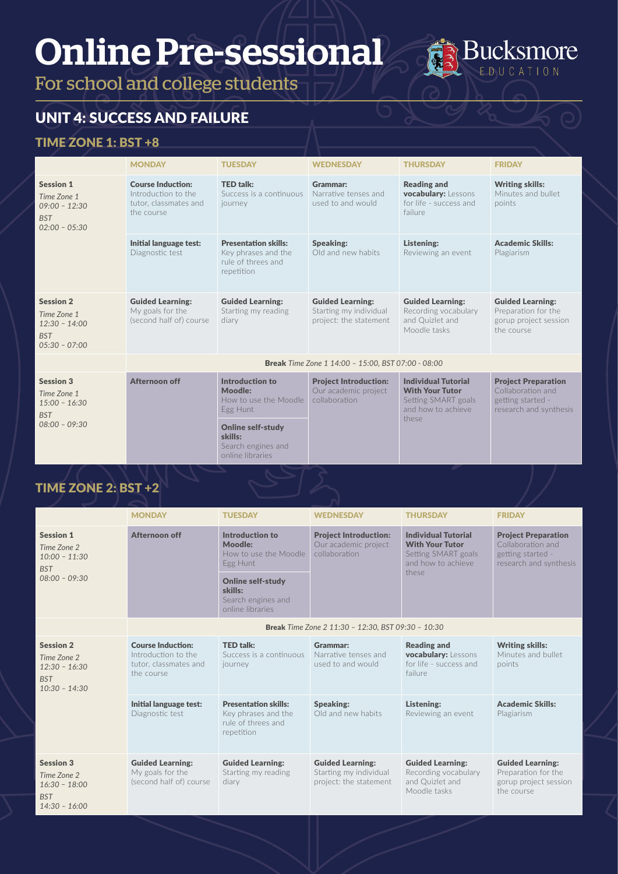For school and college students

# UNIT 4: SUCCESS AND FAILURE

#### TIME ZONE 1: BST +8

|                                                                                     | <b>MONDAY</b>                                                                          | <b>TUESDAY</b>                                                                                     | <b>WEDNESDAY</b>                                                            | <b>THURSDAY</b>                                                                                            | <b>FRIDAY</b>                                                                                  |
|-------------------------------------------------------------------------------------|----------------------------------------------------------------------------------------|----------------------------------------------------------------------------------------------------|-----------------------------------------------------------------------------|------------------------------------------------------------------------------------------------------------|------------------------------------------------------------------------------------------------|
| <b>Session 1</b><br>Time Zone 1<br>$09:00 - 12:30$<br><b>BST</b><br>$02:00 - 05:30$ | <b>Course Induction:</b><br>Introduction to the<br>tutor, classmates and<br>the course | <b>TED talk:</b><br>Success is a continuous<br>journey                                             | Grammar:<br>Narrative tenses and<br>used to and would                       | <b>Reading and</b><br>vocabulary: Lessons<br>for life - success and<br>failure                             | <b>Writing skills:</b><br>Minutes and bullet<br>points                                         |
|                                                                                     | Initial language test:<br>Diagnostic test                                              | <b>Presentation skills:</b><br>Key phrases and the<br>rule of threes and<br>repetition             | Speaking:<br>Old and new habits                                             | Listening:<br>Reviewing an event                                                                           | <b>Academic Skills:</b><br>Plagiarism                                                          |
| <b>Session 2</b><br>Time Zone 1<br>$12:30 - 14:00$<br><b>BST</b><br>$05:30 - 07:00$ | <b>Guided Learning:</b><br>My goals for the<br>(second half of) course                 | <b>Guided Learning:</b><br>Starting my reading<br>diary                                            | <b>Guided Learning:</b><br>Starting my individual<br>project: the statement | <b>Guided Learning:</b><br>Recording vocabulary<br>and Quizlet and<br>Moodle tasks                         | <b>Guided Learning:</b><br>Preparation for the<br>gorup project session<br>the course          |
|                                                                                     |                                                                                        |                                                                                                    | <b>Break</b> Time Zone 1 14:00 - 15:00, BST 07:00 - 08:00                   |                                                                                                            |                                                                                                |
| <b>Session 3</b><br>Time Zone 1<br>$15:00 - 16:30$<br><b>BST</b><br>$08:00 - 09:30$ | <b>Afternoon off</b>                                                                   | Introduction to<br><b>Moodle:</b><br>How to use the Moodle<br>Egg Hunt<br><b>Online self-study</b> | <b>Project Introduction:</b><br>Our academic project<br>collaboration       | <b>Individual Tutorial</b><br><b>With Your Tutor</b><br>Setting SMART goals<br>and how to achieve<br>these | <b>Project Preparation</b><br>Collaboration and<br>getting started -<br>research and synthesis |
|                                                                                     |                                                                                        | skills:<br>Search engines and<br>online libraries                                                  |                                                                             |                                                                                                            |                                                                                                |

**Bucksmore** EDUCATION

|                                                                                     | <b>MONDAY</b>                                                                          | <b>TUESDAY</b>                                                                                                                                   | <b>WEDNESDAY</b>                                                            | <b>THURSDAY</b>                                                                                            | <b>FRIDAY</b>                                                                                  |
|-------------------------------------------------------------------------------------|----------------------------------------------------------------------------------------|--------------------------------------------------------------------------------------------------------------------------------------------------|-----------------------------------------------------------------------------|------------------------------------------------------------------------------------------------------------|------------------------------------------------------------------------------------------------|
| <b>Session 1</b><br>Time Zone 2<br>$10:00 - 11:30$<br><b>BST</b><br>$08:00 - 09:30$ | Afternoon off                                                                          | Introduction to<br>Moodle:<br>How to use the Moodle<br>Egg Hunt<br><b>Online self-study</b><br>skills:<br>Search engines and<br>online libraries | <b>Project Introduction:</b><br>Our academic project<br>collaboration       | <b>Individual Tutorial</b><br><b>With Your Tutor</b><br>Setting SMART goals<br>and how to achieve<br>these | <b>Project Preparation</b><br>Collaboration and<br>getting started -<br>research and synthesis |
|                                                                                     |                                                                                        |                                                                                                                                                  | <b>Break</b> Time Zone 2 11:30 - 12:30, BST 09:30 - 10:30                   |                                                                                                            |                                                                                                |
| <b>Session 2</b><br>Time Zone 2<br>$12:30 - 16:30$<br><b>BST</b><br>$10:30 - 14:30$ | <b>Course Induction:</b><br>Introduction to the<br>tutor, classmates and<br>the course | <b>TED talk:</b><br>Success is a continuous<br>journey                                                                                           | Grammar:<br>Narrative tenses and<br>used to and would                       | <b>Reading and</b><br><b>vocabulary:</b> Lessons<br>for life - success and<br>failure                      | <b>Writing skills:</b><br>Minutes and bullet<br>points                                         |
|                                                                                     | Initial language test:<br>Diagnostic test                                              | <b>Presentation skills:</b><br>Key phrases and the<br>rule of threes and<br>repetition                                                           | Speaking:<br>Old and new habits                                             | Listening:<br>Reviewing an event                                                                           | <b>Academic Skills:</b><br>Plagiarism                                                          |
| <b>Session 3</b><br>Time Zone 2<br>$16:30 - 18:00$<br><b>BST</b><br>$14:30 - 16:00$ | <b>Guided Learning:</b><br>My goals for the<br>(second half of) course                 | <b>Guided Learning:</b><br>Starting my reading<br>diary                                                                                          | <b>Guided Learning:</b><br>Starting my individual<br>project: the statement | <b>Guided Learning:</b><br>Recording vocabulary<br>and Quizlet and<br>Moodle tasks                         | <b>Guided Learning:</b><br>Preparation for the<br>gorup project session<br>the course          |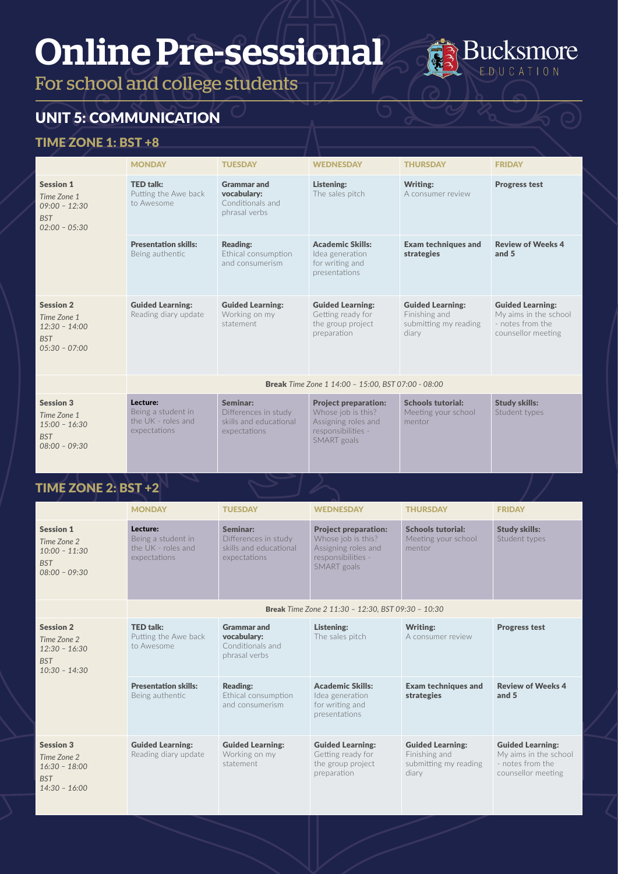For school and college students



# UNIT 5: COMMUNICATION

#### TIME ZONE 1: BST +8

|                                                                                     | <b>MONDAY</b>                                                        | <b>TUESDAY</b>                                                             | <b>WEDNESDAY</b>                                                                                              | <b>THURSDAY</b>                                                            | <b>FRIDAY</b>                                                                              |
|-------------------------------------------------------------------------------------|----------------------------------------------------------------------|----------------------------------------------------------------------------|---------------------------------------------------------------------------------------------------------------|----------------------------------------------------------------------------|--------------------------------------------------------------------------------------------|
| <b>Session 1</b><br>Time Zone 1<br>$09:00 - 12:30$<br><b>BST</b><br>$02:00 - 05:30$ | <b>TED talk:</b><br>Putting the Awe back<br>to Awesome               | <b>Grammar and</b><br>vocabulary:<br>Conditionals and<br>phrasal verbs     | Listening:<br>The sales pitch                                                                                 | Writing:<br>A consumer review                                              | <b>Progress test</b>                                                                       |
|                                                                                     | <b>Presentation skills:</b><br>Being authentic                       | <b>Reading:</b><br>Ethical consumption<br>and consumerism                  | <b>Academic Skills:</b><br>Idea generation<br>for writing and<br>presentations                                | <b>Exam techniques and</b><br>strategies                                   | <b>Review of Weeks 4</b><br>and 5                                                          |
| <b>Session 2</b><br>Time Zone 1<br>$12:30 - 14:00$<br><b>BST</b><br>$05:30 - 07:00$ | <b>Guided Learning:</b><br>Reading diary update                      | <b>Guided Learning:</b><br>Working on my<br>statement                      | <b>Guided Learning:</b><br>Getting ready for<br>the group project<br>preparation                              | <b>Guided Learning:</b><br>Finishing and<br>submitting my reading<br>diary | <b>Guided Learning:</b><br>My aims in the school<br>- notes from the<br>counsellor meeting |
|                                                                                     |                                                                      |                                                                            | <b>Break</b> Time Zone 1 14:00 - 15:00, BST 07:00 - 08:00                                                     |                                                                            |                                                                                            |
| <b>Session 3</b><br>Time Zone 1<br>$15:00 - 16:30$<br><b>BST</b><br>$08:00 - 09:30$ | Lecture:<br>Being a student in<br>the UK - roles and<br>expectations | Seminar:<br>Differences in study<br>skills and educational<br>expectations | <b>Project preparation:</b><br>Whose job is this?<br>Assigning roles and<br>responsibilities -<br>SMART goals | <b>Schools tutorial:</b><br>Meeting your school<br>mentor                  | <b>Study skills:</b><br>Student types                                                      |

|                                                                                     | <b>MONDAY</b>                                                        | <b>TUESDAY</b>                                                             | <b>WEDNESDAY</b>                                                                                              | <b>THURSDAY</b>                                                            | <b>FRIDAY</b>                                                                              |
|-------------------------------------------------------------------------------------|----------------------------------------------------------------------|----------------------------------------------------------------------------|---------------------------------------------------------------------------------------------------------------|----------------------------------------------------------------------------|--------------------------------------------------------------------------------------------|
| <b>Session 1</b><br>Time Zone 2<br>$10:00 - 11:30$<br><b>BST</b><br>$08:00 - 09:30$ | Lecture:<br>Being a student in<br>the UK - roles and<br>expectations | Seminar:<br>Differences in study<br>skills and educational<br>expectations | <b>Project preparation:</b><br>Whose job is this?<br>Assigning roles and<br>responsibilities -<br>SMART goals | <b>Schools tutorial:</b><br>Meeting your school<br>mentor                  | <b>Study skills:</b><br>Student types                                                      |
|                                                                                     |                                                                      |                                                                            | <b>Break</b> Time Zone 2 11:30 - 12:30, BST 09:30 - 10:30                                                     |                                                                            |                                                                                            |
| <b>Session 2</b><br>Time Zone 2<br>$12:30 - 16:30$<br><b>BST</b><br>$10:30 - 14:30$ | <b>TED talk:</b><br>Putting the Awe back<br>to Awesome               | <b>Grammar and</b><br>vocabulary:<br>Conditionals and<br>phrasal verbs     | Listening:<br>The sales pitch                                                                                 | <b>Writing:</b><br>A consumer review                                       | <b>Progress test</b>                                                                       |
|                                                                                     | <b>Presentation skills:</b><br>Being authentic                       | <b>Reading:</b><br>Ethical consumption<br>and consumerism                  | <b>Academic Skills:</b><br>Idea generation<br>for writing and<br>presentations                                | <b>Exam techniques and</b><br>strategies                                   | <b>Review of Weeks 4</b><br>and 5                                                          |
| <b>Session 3</b><br>Time Zone 2<br>$16:30 - 18:00$<br><b>BST</b><br>$14:30 - 16:00$ | <b>Guided Learning:</b><br>Reading diary update                      | <b>Guided Learning:</b><br>Working on my<br>statement                      | <b>Guided Learning:</b><br>Getting ready for<br>the group project<br>preparation                              | <b>Guided Learning:</b><br>Finishing and<br>submitting my reading<br>diary | <b>Guided Learning:</b><br>My aims in the school<br>- notes from the<br>counsellor meeting |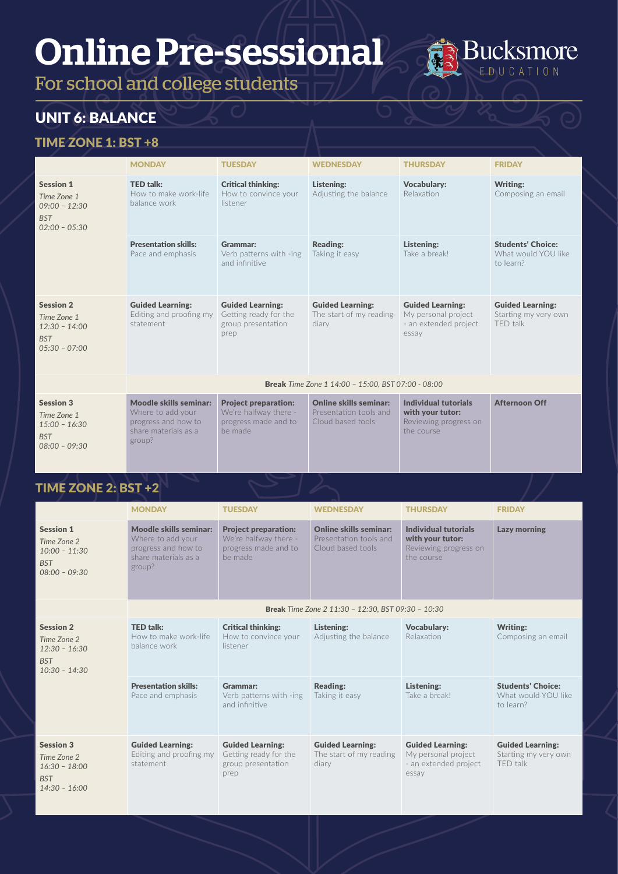For school and college students

# UNIT 6: BALANCE

#### TIME ZONE 1: BST +8

|                                                                                     | <b>MONDAY</b>                                                                                        | <b>TUESDAY</b>                                                                          | <b>WEDNESDAY</b>                                                             | <b>THURSDAY</b>                                                                         | <b>FRIDAY</b>                                                |
|-------------------------------------------------------------------------------------|------------------------------------------------------------------------------------------------------|-----------------------------------------------------------------------------------------|------------------------------------------------------------------------------|-----------------------------------------------------------------------------------------|--------------------------------------------------------------|
| <b>Session 1</b><br>Time Zone 1<br>$09:00 - 12:30$<br><b>BST</b><br>$02:00 - 05:30$ | <b>TED talk:</b><br>How to make work-life<br>balance work                                            | <b>Critical thinking:</b><br>How to convince your<br>listener                           | Listening:<br>Adjusting the balance                                          | <b>Vocabulary:</b><br>Relaxation                                                        | <b>Writing:</b><br>Composing an email                        |
|                                                                                     | <b>Presentation skills:</b><br>Pace and emphasis                                                     | Grammar:<br>Verb patterns with -ing<br>and infinitive                                   | <b>Reading:</b><br>Taking it easy                                            | Listening:<br>Take a break!                                                             | <b>Students' Choice:</b><br>What would YOU like<br>to learn? |
| <b>Session 2</b><br>Time Zone 1<br>$12:30 - 14:00$<br><b>BST</b><br>$05:30 - 07:00$ | <b>Guided Learning:</b><br>Editing and proofing my<br>statement                                      | <b>Guided Learning:</b><br>Getting ready for the<br>group presentation<br>prep          | <b>Guided Learning:</b><br>The start of my reading<br>diary                  | <b>Guided Learning:</b><br>My personal project<br>- an extended project<br>essav        | <b>Guided Learning:</b><br>Starting my very own<br>TFD talk  |
|                                                                                     |                                                                                                      |                                                                                         | <b>Break</b> Time Zone 1 14:00 - 15:00, BST 07:00 - 08:00                    |                                                                                         |                                                              |
| <b>Session 3</b><br>Time Zone 1<br>$15:00 - 16:30$<br><b>BST</b><br>$08:00 - 09:30$ | Moodle skills seminar:<br>Where to add your<br>progress and how to<br>share materials as a<br>group? | <b>Project preparation:</b><br>We're halfway there -<br>progress made and to<br>be made | <b>Online skills seminar:</b><br>Presentation tools and<br>Cloud based tools | <b>Individual tutorials</b><br>with your tutor:<br>Reviewing progress on<br>the course. | <b>Afternoon Off</b>                                         |

**Bucksmore** EDUCATION

|                                                                                     | <b>MONDAY</b>                                                                                        | <b>TUESDAY</b>                                                                          | <b>WEDNESDAY</b>                                                             | <b>THURSDAY</b>                                                                  | <b>FRIDAY</b>                                                |
|-------------------------------------------------------------------------------------|------------------------------------------------------------------------------------------------------|-----------------------------------------------------------------------------------------|------------------------------------------------------------------------------|----------------------------------------------------------------------------------|--------------------------------------------------------------|
| <b>Session 1</b><br>Time Zone 2<br>$10:00 - 11:30$<br><b>BST</b><br>$08:00 - 09:30$ | Moodle skills seminar:<br>Where to add your<br>progress and how to<br>share materials as a<br>group? | <b>Project preparation:</b><br>We're halfway there -<br>progress made and to<br>be made | <b>Online skills seminar:</b><br>Presentation tools and<br>Cloud based tools | Individual tutorials<br>with your tutor:<br>Reviewing progress on<br>the course  | <b>Lazy morning</b>                                          |
|                                                                                     |                                                                                                      |                                                                                         | <b>Break</b> Time Zone 2 11:30 - 12:30, BST 09:30 - 10:30                    |                                                                                  |                                                              |
| <b>Session 2</b><br>Time Zone 2<br>$12:30 - 16:30$<br><b>BST</b><br>$10:30 - 14:30$ | <b>TED talk:</b><br>How to make work-life<br>balance work                                            | <b>Critical thinking:</b><br>How to convince your<br>listener                           | Listening:<br>Adjusting the balance                                          | <b>Vocabulary:</b><br>Relaxation                                                 | Writing:<br>Composing an email                               |
|                                                                                     | <b>Presentation skills:</b><br>Pace and emphasis                                                     | Grammar:<br>Verb patterns with -ing<br>and infinitive                                   | <b>Reading:</b><br>Taking it easy                                            | Listening:<br>Take a break!                                                      | <b>Students' Choice:</b><br>What would YOU like<br>to learn? |
| <b>Session 3</b><br>Time Zone 2<br>$16:30 - 18:00$<br><b>BST</b><br>$14:30 - 16:00$ | <b>Guided Learning:</b><br>Editing and proofing my<br>statement                                      | <b>Guided Learning:</b><br>Getting ready for the<br>group presentation<br>prep          | <b>Guided Learning:</b><br>The start of my reading<br>diary                  | <b>Guided Learning:</b><br>My personal project<br>- an extended project<br>essay | <b>Guided Learning:</b><br>Starting my very own<br>TFD talk  |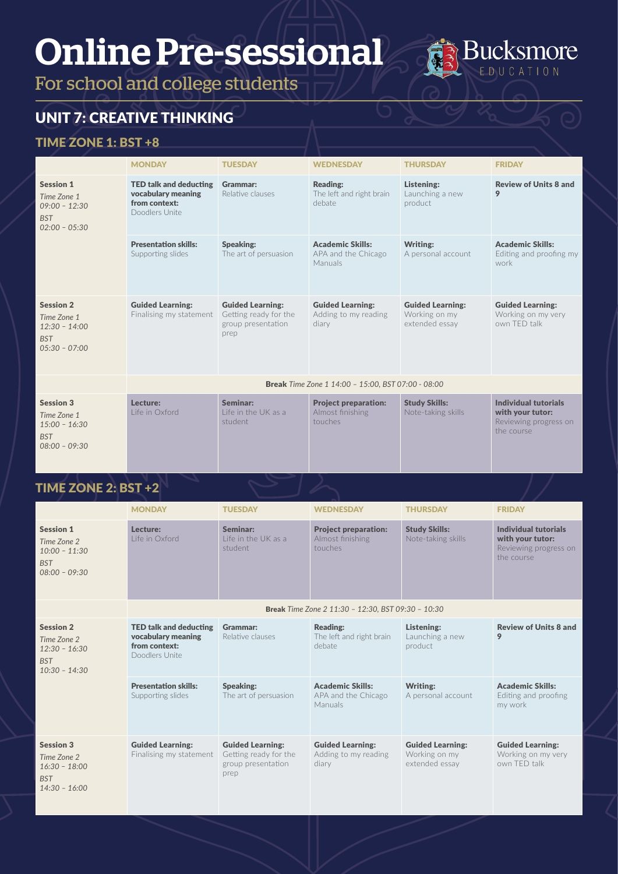For school and college students

# UNIT 7: CREATIVE THINKING

#### TIME ZONE 1: BST +8

|                                                                                     | <b>MONDAY</b>                                                                          | <b>TUESDAY</b>                                                                 | <b>WEDNESDAY</b>                                           | <b>THURSDAY</b>                                            | <b>FRIDAY</b>                                                                   |  |
|-------------------------------------------------------------------------------------|----------------------------------------------------------------------------------------|--------------------------------------------------------------------------------|------------------------------------------------------------|------------------------------------------------------------|---------------------------------------------------------------------------------|--|
| <b>Session 1</b><br>Time Zone 1<br>$09:00 - 12:30$<br><b>BST</b><br>$02:00 - 05:30$ | <b>TED talk and deducting</b><br>vocabulary meaning<br>from context:<br>Doodlers Unite | Grammar:<br>Relative clauses                                                   | <b>Reading:</b><br>The left and right brain<br>debate      | Listening:<br>Launching a new<br>product                   | <b>Review of Units 8 and</b><br>9                                               |  |
|                                                                                     | <b>Presentation skills:</b><br>Supporting slides                                       | <b>Speaking:</b><br>The art of persuasion                                      | <b>Academic Skills:</b><br>APA and the Chicago<br>Manuals  | Writing:<br>A personal account                             | <b>Academic Skills:</b><br>Editing and proofing my<br>work                      |  |
| <b>Session 2</b><br>Time Zone 1<br>$12:30 - 14:00$<br><b>BST</b><br>$05:30 - 07:00$ | <b>Guided Learning:</b><br>Finalising my statement                                     | <b>Guided Learning:</b><br>Getting ready for the<br>group presentation<br>prep | <b>Guided Learning:</b><br>Adding to my reading<br>diary   | <b>Guided Learning:</b><br>Working on my<br>extended essay | <b>Guided Learning:</b><br>Working on my very<br>own TFD talk                   |  |
|                                                                                     | <b>Break</b> Time Zone 1 14:00 - 15:00, BST 07:00 - 08:00                              |                                                                                |                                                            |                                                            |                                                                                 |  |
| <b>Session 3</b><br>Time Zone 1<br>$15:00 - 16:30$<br><b>BST</b><br>$08:00 - 09:30$ | Lecture:<br>Life in Oxford                                                             | Seminar:<br>Life in the UK as a<br>student                                     | <b>Project preparation:</b><br>Almost finishing<br>touches | <b>Study Skills:</b><br>Note-taking skills                 | Individual tutorials<br>with your tutor:<br>Reviewing progress on<br>the course |  |

**Bucksmore** EDUCATION

|                                                                                     | <b>MONDAY</b>                                                                          | <b>TUESDAY</b>                                                                 | <b>WEDNESDAY</b>                                           | <b>THURSDAY</b>                                            | <b>FRIDAY</b>                                                                          |  |
|-------------------------------------------------------------------------------------|----------------------------------------------------------------------------------------|--------------------------------------------------------------------------------|------------------------------------------------------------|------------------------------------------------------------|----------------------------------------------------------------------------------------|--|
| <b>Session 1</b><br>Time Zone 2<br>$10:00 - 11:30$<br><b>BST</b><br>$08:00 - 09:30$ | Lecture:<br>Life in Oxford                                                             | Seminar:<br>Life in the UK as a<br>student                                     | <b>Project preparation:</b><br>Almost finishing<br>touches | <b>Study Skills:</b><br>Note-taking skills                 | <b>Individual tutorials</b><br>with your tutor:<br>Reviewing progress on<br>the course |  |
|                                                                                     | <b>Break</b> Time Zone 2 11:30 - 12:30, BST 09:30 - 10:30                              |                                                                                |                                                            |                                                            |                                                                                        |  |
| <b>Session 2</b><br>Time Zone 2<br>$12:30 - 16:30$<br><b>BST</b><br>$10:30 - 14:30$ | <b>TED talk and deducting</b><br>vocabulary meaning<br>from context:<br>Doodlers Unite | Grammar:<br>Relative clauses                                                   | <b>Reading:</b><br>The left and right brain<br>debate      | Listening:<br>Launching a new<br>product                   | <b>Review of Units 8 and</b><br>9                                                      |  |
|                                                                                     | <b>Presentation skills:</b><br>Supporting slides                                       | <b>Speaking:</b><br>The art of persuasion                                      | <b>Academic Skills:</b><br>APA and the Chicago<br>Manuals  | <b>Writing:</b><br>A personal account                      | <b>Academic Skills:</b><br>Editing and proofing<br>my work                             |  |
| <b>Session 3</b><br>Time Zone 2<br>$16:30 - 18:00$<br><b>BST</b><br>$14:30 - 16:00$ | <b>Guided Learning:</b><br>Finalising my statement                                     | <b>Guided Learning:</b><br>Getting ready for the<br>group presentation<br>prep | <b>Guided Learning:</b><br>Adding to my reading<br>diary   | <b>Guided Learning:</b><br>Working on my<br>extended essay | <b>Guided Learning:</b><br>Working on my very<br>own TFD talk                          |  |